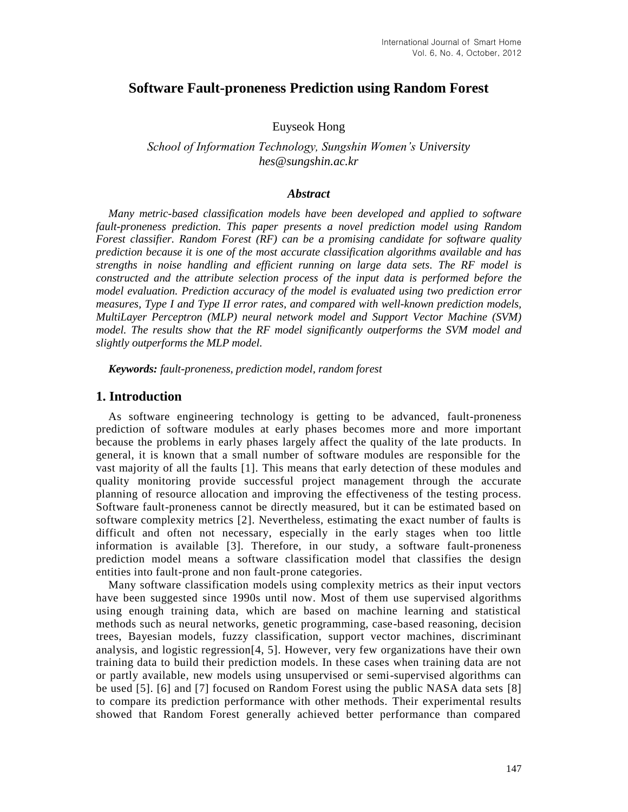# **Software Fault-proneness Prediction using Random Forest**

Euyseok Hong

*School of Information Technology, Sungshin Women's University hes@sungshin.ac.kr*

### *Abstract*

*Many metric-based classification models have been developed and applied to software fault-proneness prediction. This paper presents a novel prediction model using Random Forest classifier. Random Forest (RF) can be a promising candidate for software quality prediction because it is one of the most accurate classification algorithms available and has strengths in noise handling and efficient running on large data sets. The RF model is constructed and the attribute selection process of the input data is performed before the model evaluation. Prediction accuracy of the model is evaluated using two prediction error measures, Type I and Type II error rates, and compared with well-known prediction models, MultiLayer Perceptron (MLP) neural network model and Support Vector Machine (SVM) model. The results show that the RF model significantly outperforms the SVM model and slightly outperforms the MLP model.*

*Keywords: fault-proneness, prediction model, random forest*

### **1. Introduction**

As software engineering technology is getting to be advanced, fault-proneness prediction of software modules at early phases becomes more and more important because the problems in early phases largely affect the quality of the late products. In general, it is known that a small number of software modules are responsible for the vast majority of all the faults [1]. This means that early detection of these modules and quality monitoring provide successful project management through the accurate planning of resource allocation and improving the effectiveness of the testing process. Software fault-proneness cannot be directly measured, but it can be estimated based on software complexity metrics [2]. Nevertheless, estimating the exact number of faults is difficult and often not necessary, especially in the early stages when too little information is available [3]. Therefore, in our study, a software fault-proneness prediction model means a software classification model that classifies the design entities into fault-prone and non fault-prone categories.

Many software classification models using complexity metrics as their input vectors have been suggested since 1990s until now. Most of them use supervised algorithms using enough training data, which are based on machine learning and statistical methods such as neural networks, genetic programming, case-based reasoning, decision trees, Bayesian models, fuzzy classification, support vector machines, discriminant analysis, and logistic regression[4, 5]. However, very few organizations have their own training data to build their prediction models. In these cases when training data are not or partly available, new models using unsupervised or semi-supervised algorithms can be used [5]. [6] and [7] focused on Random Forest using the public NASA data sets [8] to compare its prediction performance with other methods. Their experimental results showed that Random Forest generally achieved better performance than compared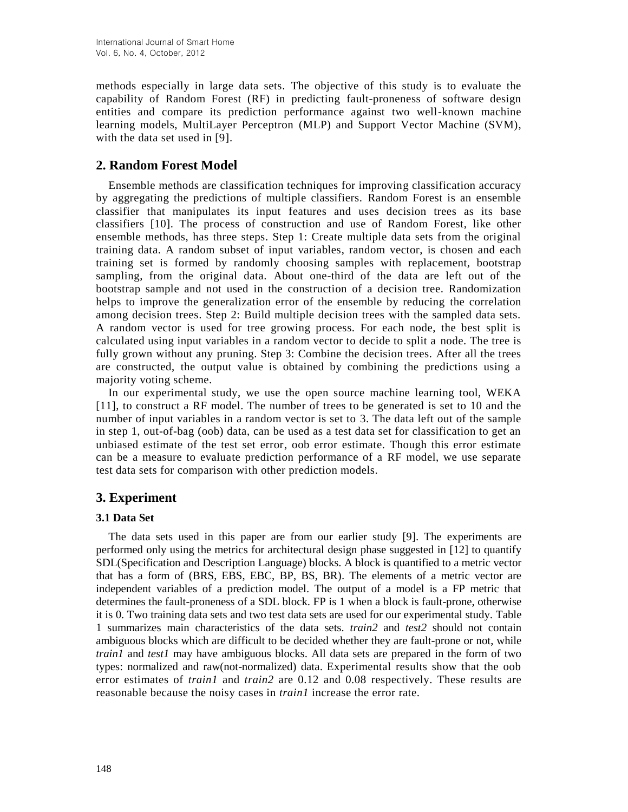methods especially in large data sets. The objective of this study is to evaluate the capability of Random Forest (RF) in predicting fault-proneness of software design entities and compare its prediction performance against two well-known machine learning models, MultiLayer Perceptron (MLP) and Support Vector Machine (SVM), with the data set used in [9].

# **2. Random Forest Model**

Ensemble methods are classification techniques for improving classification accuracy by aggregating the predictions of multiple classifiers. Random Forest is an ensemble classifier that manipulates its input features and uses decision trees as its base classifiers [10]. The process of construction and use of Random Forest, like other ensemble methods, has three steps. Step 1: Create multiple data sets from the original training data. A random subset of input variables, random vector, is chosen and each training set is formed by randomly choosing samples with replacement, bootstrap sampling, from the original data. About one-third of the data are left out of the bootstrap sample and not used in the construction of a decision tree. Randomization helps to improve the generalization error of the ensemble by reducing the correlation among decision trees. Step 2: Build multiple decision trees with the sampled data sets. A random vector is used for tree growing process. For each node, the best split is calculated using input variables in a random vector to decide to split a node. The tree is fully grown without any pruning. Step 3: Combine the decision trees. After all the trees are constructed, the output value is obtained by combining the predictions using a majority voting scheme.

In our experimental study, we use the open source machine learning tool, WEKA [11], to construct a RF model. The number of trees to be generated is set to 10 and the number of input variables in a random vector is set to 3. The data left out of the sample in step 1, out-of-bag (oob) data, can be used as a test data set for classification to get an unbiased estimate of the test set error, oob error estimate. Though this error estimate can be a measure to evaluate prediction performance of a RF model, we use separate test data sets for comparison with other prediction models.

# **3. Experiment**

#### **3.1 Data Set**

The data sets used in this paper are from our earlier study [9]. The experiments are performed only using the metrics for architectural design phase suggested in [12] to quantify SDL(Specification and Description Language) blocks. A block is quantified to a metric vector that has a form of (BRS, EBS, EBC, BP, BS, BR). The elements of a metric vector are independent variables of a prediction model. The output of a model is a FP metric that determines the fault-proneness of a SDL block. FP is 1 when a block is fault-prone, otherwise it is 0. Two training data sets and two test data sets are used for our experimental study. Table 1 summarizes main characteristics of the data sets. *train2* and *test2* should not contain ambiguous blocks which are difficult to be decided whether they are fault-prone or not, while *train1* and *test1* may have ambiguous blocks. All data sets are prepared in the form of two types: normalized and raw(not-normalized) data. Experimental results show that the oob error estimates of *train1* and *train2* are 0.12 and 0.08 respectively. These results are reasonable because the noisy cases in *train1* increase the error rate.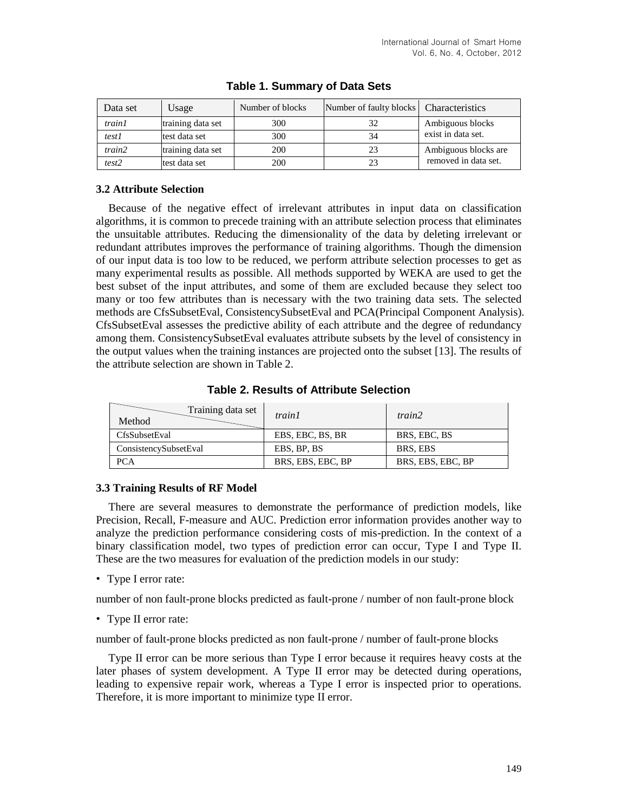| Data set      | Usage             | Number of blocks | Number of faulty blocks   Characteristics |                      |
|---------------|-------------------|------------------|-------------------------------------------|----------------------|
| <i>train1</i> | training data set | 300              | 32                                        | Ambiguous blocks     |
| test1         | test data set     | 300              | 34                                        | exist in data set.   |
| train2        | training data set | 200              | 23                                        | Ambiguous blocks are |
| test2         | test data set     | 200              |                                           | removed in data set. |

### **Table 1. Summary of Data Sets**

#### **3.2 Attribute Selection**

Because of the negative effect of irrelevant attributes in input data on classification algorithms, it is common to precede training with an attribute selection process that eliminates the unsuitable attributes. Reducing the dimensionality of the data by deleting irrelevant or redundant attributes improves the performance of training algorithms. Though the dimension of our input data is too low to be reduced, we perform attribute selection processes to get as many experimental results as possible. All methods supported by WEKA are used to get the best subset of the input attributes, and some of them are excluded because they select too many or too few attributes than is necessary with the two training data sets. The selected methods are CfsSubsetEval, ConsistencySubsetEval and PCA(Principal Component Analysis). CfsSubsetEval assesses the predictive ability of each attribute and the degree of redundancy among them. ConsistencySubsetEval evaluates attribute subsets by the level of consistency in the output values when the training instances are projected onto the subset [13]. The results of the attribute selection are shown in Table 2.

#### **Table 2. Results of Attribute Selection**

| Training data set<br>Method | train1            | train2            |
|-----------------------------|-------------------|-------------------|
| CfsSubsetEval               | EBS, EBC, BS, BR  | BRS, EBC, BS      |
| ConsistencySubsetEval       | EBS, BP, BS       | BRS, EBS          |
| <b>PCA</b>                  | BRS, EBS, EBC, BP | BRS, EBS, EBC, BP |

#### **3.3 Training Results of RF Model**

There are several measures to demonstrate the performance of prediction models, like Precision, Recall, F-measure and AUC. Prediction error information provides another way to analyze the prediction performance considering costs of mis-prediction. In the context of a binary classification model, two types of prediction error can occur, Type I and Type II. These are the two measures for evaluation of the prediction models in our study:

• Type I error rate:

number of non fault-prone blocks predicted as fault-prone / number of non fault-prone block

• Type II error rate:

number of fault-prone blocks predicted as non fault-prone / number of fault-prone blocks

Type II error can be more serious than Type I error because it requires heavy costs at the later phases of system development. A Type II error may be detected during operations, leading to expensive repair work, whereas a Type I error is inspected prior to operations. Therefore, it is more important to minimize type II error.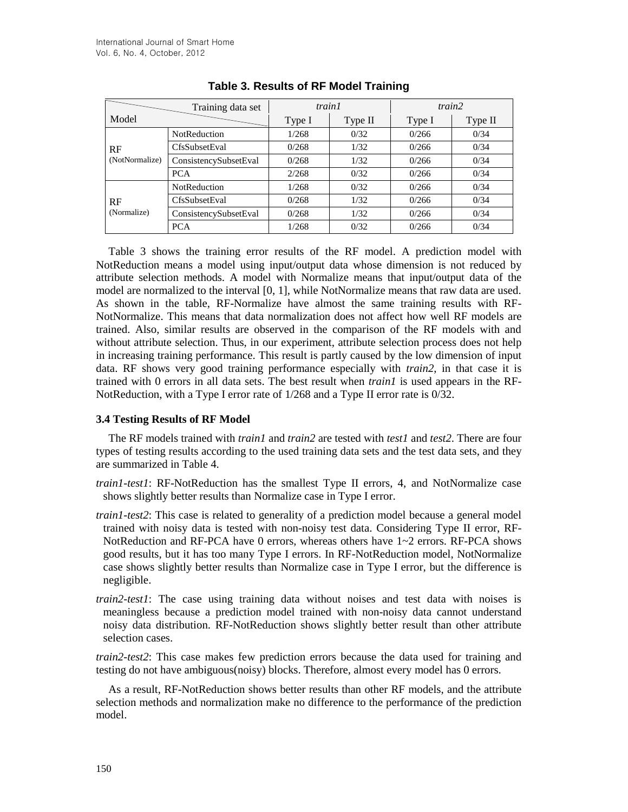|                      | Training data set     |        | train1  |        | train2  |  |
|----------------------|-----------------------|--------|---------|--------|---------|--|
| Model                |                       | Type I | Type II | Type I | Type II |  |
| RF<br>(NotNormalize) | <b>NotReduction</b>   | 1/268  | 0/32    | 0/266  | 0/34    |  |
|                      | <b>CfsSubsetEval</b>  | 0/268  | 1/32    | 0/266  | 0/34    |  |
|                      | ConsistencySubsetEval | 0/268  | 1/32    | 0/266  | 0/34    |  |
|                      | <b>PCA</b>            | 2/268  | 0/32    | 0/266  | 0/34    |  |
| RF<br>(Normalize)    | <b>NotReduction</b>   | 1/268  | 0/32    | 0/266  | 0/34    |  |
|                      | <b>CfsSubsetEval</b>  | 0/268  | 1/32    | 0/266  | 0/34    |  |
|                      | ConsistencySubsetEval | 0/268  | 1/32    | 0/266  | 0/34    |  |
|                      | <b>PCA</b>            | 1/268  | 0/32    | 0/266  | 0/34    |  |

### **Table 3. Results of RF Model Training**

Table 3 shows the training error results of the RF model. A prediction model with NotReduction means a model using input/output data whose dimension is not reduced by attribute selection methods. A model with Normalize means that input/output data of the model are normalized to the interval [0, 1], while NotNormalize means that raw data are used. As shown in the table, RF-Normalize have almost the same training results with RF-NotNormalize. This means that data normalization does not affect how well RF models are trained. Also, similar results are observed in the comparison of the RF models with and without attribute selection. Thus, in our experiment, attribute selection process does not help in increasing training performance. This result is partly caused by the low dimension of input data. RF shows very good training performance especially with *train2*, in that case it is trained with 0 errors in all data sets. The best result when *train1* is used appears in the RF-NotReduction, with a Type I error rate of 1/268 and a Type II error rate is 0/32.

#### **3.4 Testing Results of RF Model**

The RF models trained with *train1* and *train2* are tested with *test1* and *test2*. There are four types of testing results according to the used training data sets and the test data sets, and they are summarized in Table 4.

- *train1-test1*: RF-NotReduction has the smallest Type II errors, 4, and NotNormalize case shows slightly better results than Normalize case in Type I error.
- *train1-test2*: This case is related to generality of a prediction model because a general model trained with noisy data is tested with non-noisy test data. Considering Type II error, RF-NotReduction and RF-PCA have 0 errors, whereas others have 1~2 errors. RF-PCA shows good results, but it has too many Type I errors. In RF-NotReduction model, NotNormalize case shows slightly better results than Normalize case in Type I error, but the difference is negligible.
- *train2-test1*: The case using training data without noises and test data with noises is meaningless because a prediction model trained with non-noisy data cannot understand noisy data distribution. RF-NotReduction shows slightly better result than other attribute selection cases.

*train2-test2*: This case makes few prediction errors because the data used for training and testing do not have ambiguous(noisy) blocks. Therefore, almost every model has 0 errors.

As a result, RF-NotReduction shows better results than other RF models, and the attribute selection methods and normalization make no difference to the performance of the prediction model.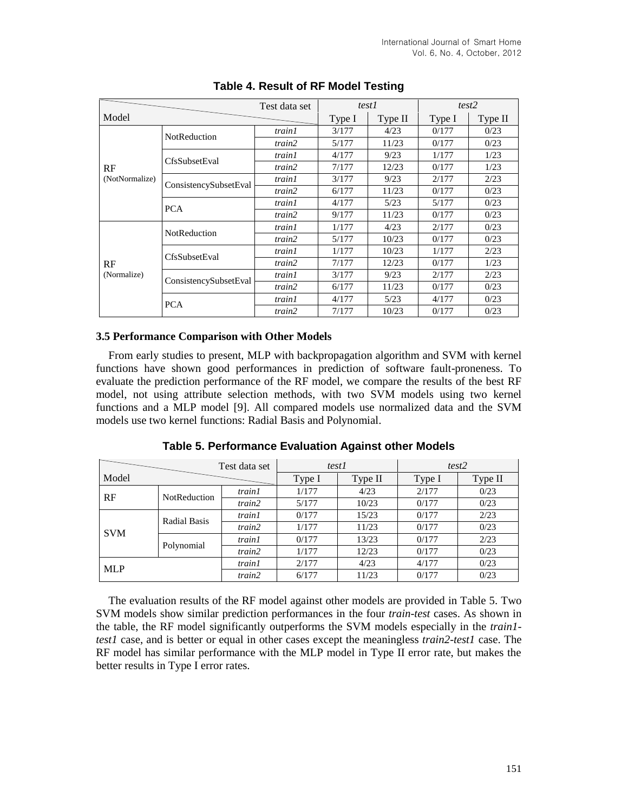|                   |                       | Test data set | test1  |         | test2  |         |
|-------------------|-----------------------|---------------|--------|---------|--------|---------|
| Model             |                       |               | Type I | Type II | Type I | Type II |
| RF                | NotReduction          | train1        | 3/177  | 4/23    | 0/177  | 0/23    |
|                   |                       | train2        | 5/177  | 11/23   | 0/177  | 0/23    |
|                   | CfsSubsetEval         | train1        | 4/177  | 9/23    | 1/177  | 1/23    |
|                   |                       | train2        | 7/177  | 12/23   | 0/177  | 1/23    |
| (NotNormalize)    | ConsistencySubsetEval | train1        | 3/177  | 9/23    | 2/177  | 2/23    |
|                   |                       | train2        | 6/177  | 11/23   | 0/177  | 0/23    |
|                   | <b>PCA</b>            | train1        | 4/177  | 5/23    | 5/177  | 0/23    |
|                   |                       | train2        | 9/177  | 11/23   | 0/177  | 0/23    |
|                   | NotReduction          | train1        | 1/177  | 4/23    | 2/177  | 0/23    |
|                   |                       | train2        | 5/177  | 10/23   | 0/177  | 0/23    |
|                   | <b>CfsSubsetEval</b>  | train1        | 1/177  | 10/23   | 1/177  | 2/23    |
| RF<br>(Normalize) |                       | train2        | 7/177  | 12/23   | 0/177  | 1/23    |
|                   | ConsistencySubsetEval | train1        | 3/177  | 9/23    | 2/177  | 2/23    |
|                   |                       | train2        | 6/177  | 11/23   | 0/177  | 0/23    |
|                   | <b>PCA</b>            | train1        | 4/177  | 5/23    | 4/177  | 0/23    |
|                   |                       | train2        | 7/177  | 10/23   | 0/177  | 0/23    |

### **Table 4. Result of RF Model Testing**

#### **3.5 Performance Comparison with Other Models**

From early studies to present, MLP with backpropagation algorithm and SVM with kernel functions have shown good performances in prediction of software fault-proneness. To evaluate the prediction performance of the RF model, we compare the results of the best RF model, not using attribute selection methods, with two SVM models using two kernel functions and a MLP model [9]. All compared models use normalized data and the SVM models use two kernel functions: Radial Basis and Polynomial.

|            |                     | Test data set | test1  |                                                   | test2  |         |
|------------|---------------------|---------------|--------|---------------------------------------------------|--------|---------|
| Model      |                     |               | Type I | Type II                                           | Type I | Type II |
| RF         | <b>NotReduction</b> | train1        | 1/177  | 4/23                                              | 2/177  | 0/23    |
|            |                     | train2        | 5/177  | 10/23<br>15/23<br>11/23<br>13/23<br>12/23<br>4/23 | 0/177  | 0/23    |
| <b>SVM</b> | <b>Radial Basis</b> | <i>train1</i> | 0/177  |                                                   | 0/177  | 2/23    |
|            |                     | train2        | 1/177  |                                                   | 0/177  | 0/23    |
|            | Polynomial          | train1        | 0/177  |                                                   | 0/177  | 2/23    |
|            |                     | train2        | 1/177  |                                                   | 0/177  | 0/23    |
| <b>MLP</b> |                     | <i>train1</i> | 2/177  |                                                   | 4/177  | 0/23    |
|            |                     | train2        | 6/177  | 11/23                                             | 0/177  | 0/23    |

**Table 5. Performance Evaluation Against other Models**

The evaluation results of the RF model against other models are provided in Table 5. Two SVM models show similar prediction performances in the four *train-test* cases. As shown in the table, the RF model significantly outperforms the SVM models especially in the *train1 test1* case, and is better or equal in other cases except the meaningless *train2-test1* case. The RF model has similar performance with the MLP model in Type II error rate, but makes the better results in Type I error rates.